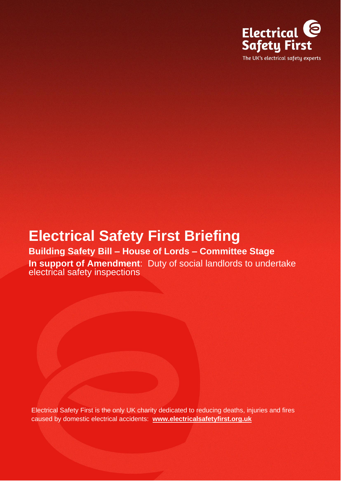

# **Electrical Safety First Briefing**

## **Building Safety Bill – House of Lords – Committee Stage In support of Amendment**: Duty of social landlords to undertake

electrical safety inspections

Electrical Safety First is the only UK charity dedicated to reducing deaths, injuries and fires caused by domestic electrical accidents: **[www.electricalsafetyfirst.org.uk](http://www.electricalsafetyfirst.org.uk/)**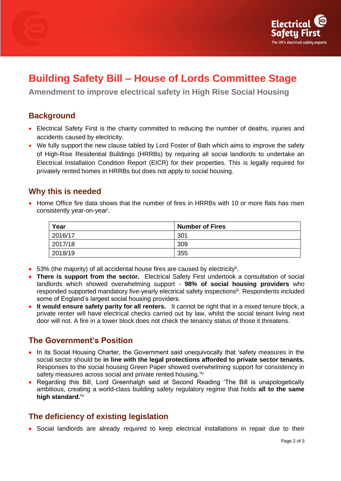



## **Building Safety Bill – House of Lords Committee Stage**

**Amendment to improve electrical safety in High Rise Social Housing**

#### **Background**

- Electrical Safety First is the charity committed to reducing the number of deaths, injuries and accidents caused by electricity.
- We fully support the new clause tabled by Lord Foster of Bath which aims to improve the safety of High-Rise Residential Buildings (HRRBs) by requiring all social landlords to undertake an Electrical Installation Condition Report (EICR) for their properties. This is legally required for privately rented homes in HRRBs but does not apply to social housing.

#### **Why this is needed**

• Home Office fire data shows that the number of fires in HRRBs with 10 or more flats has risen consistently year-on-year<sup>i</sup>.

| Year    | <b>Number of Fires</b> |
|---------|------------------------|
| 2016/17 | 301                    |
| 2017/18 | 309                    |
| 2018/19 | 355                    |

- 53% (the majority) of all accidental house fires are caused by electricity<sup>ii</sup>.
- **There is support from the sector.** Electrical Safety First undertook a consultation of social landlords which showed overwhelming support - **98% of social housing providers** who responded supported mandatory five-yearly electrical safety inspections<sup>iii</sup>. Respondents included some of England's largest social housing providers.
- **It would ensure safety parity for all renters.** It cannot be right that in a mixed tenure block, a private renter will have electrical checks carried out by law, whilst the social tenant living next door will not. A fire in a tower block does not check the tenancy status of those it threatens.

### **The Government's Position**

- In its Social Housing Charter, the Government said unequivocally that 'safety measures in the social sector should be **in line with the legal protections afforded to private sector tenants.** Responses to the social housing Green Paper showed overwhelming support for consistency in safety measures across social and private rented housing.<sup>'iv</sup>
- Regarding this Bill, Lord Greenhalgh said at Second Reading 'The Bill is unapologetically ambitious, creating a world-class building safety regulatory regime that holds **all to the same high standard.'**<sup>v</sup>

#### **The deficiency of existing legislation**

• Social landlords are already required to keep electrical installations in repair due to their